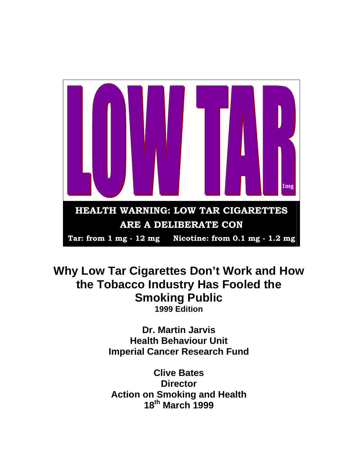

# **Why Low Tar Cigarettes Don't Work and How the Tobacco Industry Has Fooled the Smoking Public 1999 Edition**

**Dr. Martin Jarvis Health Behaviour Unit Imperial Cancer Research Fund** 

**Clive Bates Director Action on Smoking and Health 18th March 1999**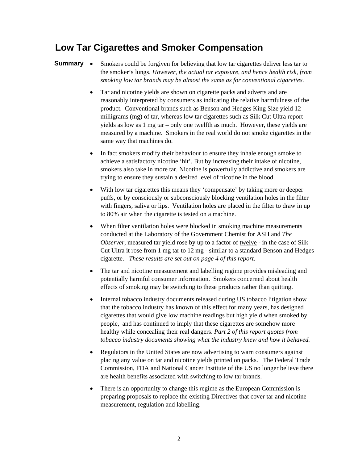## **Low Tar Cigarettes and Smoker Compensation**

#### **Summary** • Smokers could be forgiven for believing that low tar cigarettes deliver less tar to the smoker's lungs. *However, the actual tar exposure, and hence health risk, from smoking low tar brands may be almost the same as for conventional cigarettes.*

- Tar and nicotine yields are shown on cigarette packs and adverts and are reasonably interpreted by consumers as indicating the relative harmfulness of the product. Conventional brands such as Benson and Hedges King Size yield 12 milligrams (mg) of tar, whereas low tar cigarettes such as Silk Cut Ultra report yields as low as 1 mg tar – only one twelfth as much. However, these yields are measured by a machine. Smokers in the real world do not smoke cigarettes in the same way that machines do.
- In fact smokers modify their behaviour to ensure they inhale enough smoke to achieve a satisfactory nicotine 'hit'. But by increasing their intake of nicotine, smokers also take in more tar. Nicotine is powerfully addictive and smokers are trying to ensure they sustain a desired level of nicotine in the blood.
- With low tar cigarettes this means they 'compensate' by taking more or deeper puffs, or by consciously or subconsciously blocking ventilation holes in the filter with fingers, saliva or lips. Ventilation holes are placed in the filter to draw in up to 80% air when the cigarette is tested on a machine.
- When filter ventilation holes were blocked in smoking machine measurements conducted at the Laboratory of the Government Chemist for ASH and *The Observer*, measured tar yield rose by up to a factor of twelve - in the case of Silk Cut Ultra it rose from 1 mg tar to 12 mg - similar to a standard Benson and Hedges cigarette. *These results are set out on page 4 of this report.*
- The tar and nicotine measurement and labelling regime provides misleading and potentially harmful consumer information. Smokers concerned about health effects of smoking may be switching to these products rather than quitting.
- Internal tobacco industry documents released during US tobacco litigation show that the tobacco industry has known of this effect for many years, has designed cigarettes that would give low machine readings but high yield when smoked by people, and has continued to imply that these cigarettes are somehow more healthy while concealing their real dangers. *Part 2 of this report quotes from tobacco industry documents showing what the industry knew and how it behaved.*
- Regulators in the United States are now advertising to warn consumers against placing any value on tar and nicotine yields printed on packs. The Federal Trade Commission, FDA and National Cancer Institute of the US no longer believe there are health benefits associated with switching to low tar brands.
- There is an opportunity to change this regime as the European Commission is preparing proposals to replace the existing Directives that cover tar and nicotine measurement, regulation and labelling.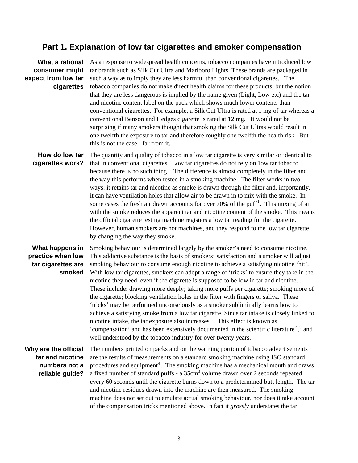### **Part 1. Explanation of low tar cigarettes and smoker compensation**

## **consumer might expect from low tar cigarettes**

What a rational As a response to widespread health concerns, tobacco companies have introduced low tar brands such as Silk Cut Ultra and Marlboro Lights. These brands are packaged in such a way as to imply they are less harmful than conventional cigarettes. The tobacco companies do not make direct health claims for these products, but the notion that they are less dangerous is implied by the name given (Light, Low etc) and the tar and nicotine content label on the pack which shows much lower contents than conventional cigarettes. For example, a Silk Cut Ultra is rated at 1 mg of tar whereas a conventional Benson and Hedges cigarette is rated at 12 mg. It would not be surprising if many smokers thought that smoking the Silk Cut Ultras would result in one twelfth the exposure to tar and therefore roughly one twelfth the health risk. But this is not the case - far from it.

**How do low tar cigarettes work?**  The quantity and quality of tobacco in a low tar cigarette is very similar or identical to that in conventional cigarettes. Low tar cigarettes do not rely on 'low tar tobacco' because there is no such thing. The difference is almost completely in the filter and the way this performs when tested in a smoking machine. The filter works in two ways: it retains tar and nicotine as smoke is drawn through the filter and, importantly, it can have ventilation holes that allow air to be drawn in to mix with the smoke. In some cases the fresh air drawn accounts for over  $70\%$  of the puff<sup>[1](#page-11-0)</sup>. This mixing of air with the smoke reduces the apparent tar and nicotine content of the smoke. This means the official cigarette testing machine registers a low tar reading for the cigarette. However, human smokers are not machines, and they respond to the low tar cigarette by changing the way they smoke.

#### **What happens in practice when low tar cigarettes are smoked**

Smoking behaviour is determined largely by the smoker's need to consume nicotine. This addictive substance is the basis of smokers' satisfaction and a smoker will adjust smoking behaviour to consume enough nicotine to achieve a satisfying nicotine 'hit'. With low tar cigarettes, smokers can adopt a range of 'tricks' to ensure they take in the nicotine they need, even if the cigarette is supposed to be low in tar and nicotine. These include: drawing more deeply; taking more puffs per cigarette; smoking more of the cigarette; blocking ventilation holes in the filter with fingers or saliva. These 'tricks' may be performed unconsciously as a smoker subliminally learns how to achieve a satisfying smoke from a low tar cigarette. Since tar intake is closely linked to nicotine intake, the tar exposure also increases. This effect is known as 'compensation' and has been extensively documented in the scientific literature<sup>[2](#page-11-1)</sup>,<sup>[3](#page-11-2)</sup> and well understood by the tobacco industry for over twenty years.

#### **Why are the official tar and nicotine numbers not a reliable guide?**

The numbers printed on packs and on the warning portion of tobacco advertisements are the results of measurements on a standard smoking machine using ISO standard procedures and equipment<sup>[4](#page-11-3)</sup>. The smoking machine has a mechanical mouth and draws a fixed number of standard puffs - a 35cm<sup>3</sup> volume drawn over 2 seconds repeated every 60 seconds until the cigarette burns down to a predetermined butt length. The tar and nicotine residues drawn into the machine are then measured. The smoking machine does not set out to emulate actual smoking behaviour, nor does it take account of the compensation tricks mentioned above. In fact it *grossly* understates the tar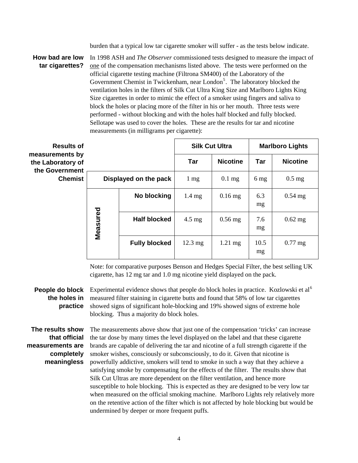burden that a typical low tar cigarette smoker will suffer - as the tests below indicate.

**How bad are low tar cigarettes?**  In 1998 ASH and *The Observer* commissioned tests designed to measure the impact of one of the compensation mechanisms listed above. The tests were performed on the official cigarette testing machine (Filtrona SM400) of the Laboratory of the Government Chemist in Twickenham, near London<sup>[5](#page-11-4)</sup>. The laboratory blocked the ventilation holes in the filters of Silk Cut Ultra King Size and Marlboro Lights King Size cigarettes in order to mimic the effect of a smoker using fingers and saliva to block the holes or placing more of the filter in his or her mouth. Three tests were performed - without blocking and with the holes half blocked and fully blocked. Sellotape was used to cover the holes. These are the results for tar and nicotine measurements (in milligrams per cigarette):

| <b>Results of</b>                                      |                       |                      | <b>Silk Cut Ultra</b> |                   | <b>Marlboro Lights</b> |                 |
|--------------------------------------------------------|-----------------------|----------------------|-----------------------|-------------------|------------------------|-----------------|
| measurements by<br>the Laboratory of<br>the Government |                       |                      | <b>Tar</b>            | <b>Nicotine</b>   | Tar                    | <b>Nicotine</b> |
| <b>Chemist</b>                                         | Displayed on the pack |                      | $1 \text{ mg}$        | $0.1$ mg          | $6 \text{ mg}$         | $0.5$ mg        |
|                                                        |                       | No blocking          | $1.4 \text{ mg}$      | $0.16$ mg         | 6.3<br>mg              | $0.54$ mg       |
|                                                        | Measured              | <b>Half blocked</b>  | $4.5 \text{ mg}$      | $0.56$ mg         | 7.6<br>mg              | $0.62$ mg       |
|                                                        |                       | <b>Fully blocked</b> | $12.3 \text{ mg}$     | $1.21 \text{ mg}$ | 10.5<br>mg             | $0.77$ mg       |

Note: for comparative purposes Benson and Hedges Special Filter, the best selling UK cigarette, has 12 mg tar and 1.0 mg nicotine yield displayed on the pack.

**People do block** Experimental evidence shows that people do block holes in practice. Kozlowski et al<sup>[6](#page-11-5)</sup> **the holes in**  measured filter staining in cigarette butts and found that 58% of low tar cigarettes **practice**  showed signs of significant hole-blocking and 19% showed signs of extreme hole blocking. Thus a majority do block holes.

**The results show that official measurements are completely meaningless** 

The measurements above show that just one of the compensation 'tricks' can increase the tar dose by many times the level displayed on the label and that these cigarette brands are capable of delivering the tar and nicotine of a full strength cigarette if the smoker wishes, consciously or subconsciously, to do it. Given that nicotine is powerfully addictive, smokers will tend to smoke in such a way that they achieve a satisfying smoke by compensating for the effects of the filter. The results show that Silk Cut Ultras are more dependent on the filter ventilation, and hence more susceptible to hole blocking. This is expected as they are designed to be very low tar when measured on the official smoking machine. Marlboro Lights rely relatively more on the retentive action of the filter which is not affected by hole blocking but would be undermined by deeper or more frequent puffs.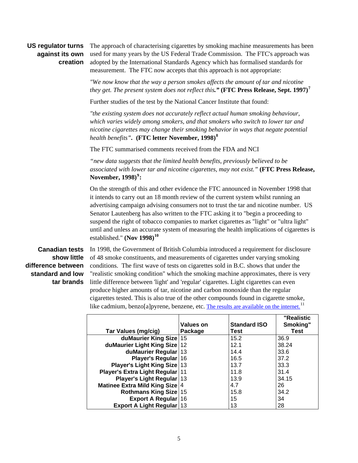#### **US regulator turns against its own creation**

The approach of characterising cigarettes by smoking machine measurements has been used for many years by the US Federal Trade Commission. The FTC's approach was adopted by the International Standards Agency which has formalised standards for measurement. The FTC now accepts that this approach is not appropriate:

*"We now know that the way a person smokes affects the amount of tar and nicotine they get. The present system does not reflect this."* **(FTC Press Release, Sept. 1997)[7](#page-11-6)**

Further studies of the test by the National Cancer Institute that found:

*"the existing system does not accurately reflect actual human smoking behaviour, which varies widely among smokers, and that smokers who switch to lower tar and nicotine cigarettes may change their smoking behavior in ways that negate potential health benefits".* **(FTC letter November, 1998)[8](#page-11-7)**

The FTC summarised comments received from the FDA and NCI

*"new data suggests that the limited health benefits, previously believed to be associated with lower tar and nicotine cigarettes, may not exist."* **(FTC Press Release, November, 1998)[9](#page-11-8) :**

On the strength of this and other evidence the FTC announced in November 1998 that it intends to carry out an 18 month review of the current system whilst running an advertising campaign advising consumers not to trust the tar and nicotine number. US Senator Lautenberg has also written to the FTC asking it to "begin a proceeding to suspend the right of tobacco companies to market cigarettes as "light" or "ultra light" until and unless an accurate system of measuring the health implications of cigarettes is established." **(Nov 1998)[10](#page-11-9)**

#### **Canadian tests show little difference between standard and low tar brands**

In 1998, the Government of British Columbia introduced a requirement for disclosure of 48 smoke constituents, and measurements of cigarettes under varying smoking conditions. The first wave of tests on cigarettes sold in B.C. shows that under the "realistic smoking condition" which the smoking machine approximates, there is very little difference between 'light' and 'regular' cigarettes. Light cigarettes can even produce higher amounts of tar, nicotine and carbon monoxide than the regular cigarettes tested. This is also true of the other compounds found in cigarette smoke, like cadmium, benzo[a]pyrene, benzene, etc. [The results are available on the internet.](http://www.cctc.ca/bcreports/default.htm)<sup>[11](#page-11-10)</sup>

|                                  | <b>Values on</b> | <b>Standard ISO</b> | "Realistic<br>Smoking" |
|----------------------------------|------------------|---------------------|------------------------|
| Tar Values (mg/cig)              | Package          | <b>Test</b>         | <b>Test</b>            |
| duMaurier King Size 15           |                  | 15.2                | 36.9                   |
| duMaurier Light King Size 12     |                  | 12.1                | 38.24                  |
| duMaurier Regular 13             |                  | 14.4                | 33.6                   |
| Player's Regular 16              |                  | 16.5                | 37.2                   |
| Player's Light King Size   13    |                  | 13.7                | 33.3                   |
| Player's Extra Light Regular 11  |                  | 11.8                | 31.4                   |
| Player's Light Regular 13        |                  | 13.9                | 34.15                  |
| Matinee Extra Mild King Size 4   |                  | 4.7                 | 26                     |
| Rothmans King Size   15          |                  | 15.8                | 34.2                   |
| Export A Regular 16              |                  | 15                  | 34                     |
| <b>Export A Light Regular 13</b> |                  | 13                  | 28                     |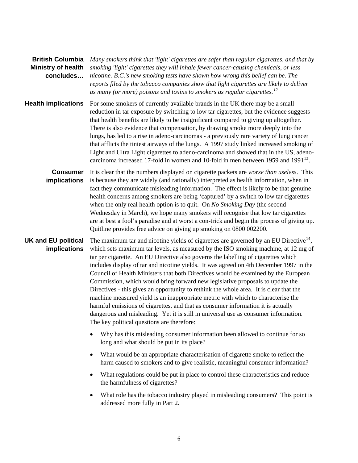| <b>British Columbia</b><br><b>Ministry of health</b><br>concludes | Many smokers think that 'light' cigarettes are safer than regular cigarettes, and that by<br>smoking 'light' cigarettes they will inhale fewer cancer-causing chemicals, or less<br>nicotine. B.C.'s new smoking tests have shown how wrong this belief can be. The<br>reports filed by the tobacco companies show that light cigarettes are likely to deliver<br>as many (or more) poisons and toxins to smokers as regular cigarettes. <sup>12</sup>                                                                                                                                                                                                                                                                                                                                                                                                                                                                                               |
|-------------------------------------------------------------------|------------------------------------------------------------------------------------------------------------------------------------------------------------------------------------------------------------------------------------------------------------------------------------------------------------------------------------------------------------------------------------------------------------------------------------------------------------------------------------------------------------------------------------------------------------------------------------------------------------------------------------------------------------------------------------------------------------------------------------------------------------------------------------------------------------------------------------------------------------------------------------------------------------------------------------------------------|
| <b>Health implications</b>                                        | For some smokers of currently available brands in the UK there may be a small<br>reduction in tar exposure by switching to low tar cigarettes, but the evidence suggests<br>that health benefits are likely to be insignificant compared to giving up altogether.<br>There is also evidence that compensation, by drawing smoke more deeply into the<br>lungs, has led to a rise in adeno-carcinomas - a previously rare variety of lung cancer<br>that afflicts the tiniest airways of the lungs. A 1997 study linked increased smoking of<br>Light and Ultra Light cigarettes to adeno-carcinoma and showed that in the US, adeno-<br>carcinoma increased 17-fold in women and 10-fold in men between 1959 and $1991^{13}$ .                                                                                                                                                                                                                       |
| <b>Consumer</b><br>implications                                   | It is clear that the numbers displayed on cigarette packets are <i>worse than useless</i> . This<br>is because they are widely (and rationally) interpreted as health information, when in<br>fact they communicate misleading information. The effect is likely to be that genuine<br>health concerns among smokers are being 'captured' by a switch to low tar cigarettes<br>when the only real health option is to quit. On No Smoking Day (the second<br>Wednesday in March), we hope many smokers will recognise that low tar cigarettes<br>are at best a fool's paradise and at worst a con-trick and begin the process of giving up.<br>Quitline provides free advice on giving up smoking on 0800 002200.                                                                                                                                                                                                                                    |
| <b>UK and EU political</b><br>implications                        | The maximum tar and nicotine yields of cigarettes are governed by an EU Directive <sup>14</sup> ,<br>which sets maximum tar levels, as measured by the ISO smoking machine, at 12 mg of<br>tar per cigarette. An EU Directive also governs the labelling of cigarettes which<br>includes display of tar and nicotine yields. It was agreed on 4th December 1997 in the<br>Council of Health Ministers that both Directives would be examined by the European<br>Commission, which would bring forward new legislative proposals to update the<br>Directives - this gives an opportunity to rethink the whole area. It is clear that the<br>machine measured yield is an inappropriate metric with which to characterise the<br>harmful emissions of cigarettes, and that as consumer information it is actually<br>dangerous and misleading. Yet it is still in universal use as consumer information.<br>The key political questions are therefore: |
|                                                                   | Why has this misleading consumer information been allowed to continue for so<br>long and what should be put in its place?                                                                                                                                                                                                                                                                                                                                                                                                                                                                                                                                                                                                                                                                                                                                                                                                                            |
|                                                                   | What would be an appropriate characterisation of cigarette smoke to reflect the<br>٠<br>harm caused to smokers and to give realistic, meaningful consumer information?                                                                                                                                                                                                                                                                                                                                                                                                                                                                                                                                                                                                                                                                                                                                                                               |
|                                                                   | What regulations could be put in place to control these characteristics and reduce<br>$\bullet$<br>the harmfulness of cigarettes?                                                                                                                                                                                                                                                                                                                                                                                                                                                                                                                                                                                                                                                                                                                                                                                                                    |
|                                                                   | What role has the tobacco industry played in misleading consumers? This point is<br>٠<br>addressed more fully in Part 2.                                                                                                                                                                                                                                                                                                                                                                                                                                                                                                                                                                                                                                                                                                                                                                                                                             |
|                                                                   |                                                                                                                                                                                                                                                                                                                                                                                                                                                                                                                                                                                                                                                                                                                                                                                                                                                                                                                                                      |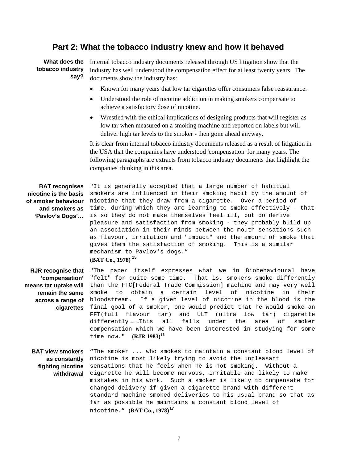#### **Part 2: What the tobacco industry knew and how it behaved**

What does the Internal tobacco industry documents released through US litigation show that the **tobacco industry say?**  industry has well understood the compensation effect for at least twenty years. The documents show the industry has:

- Known for many years that low tar cigarettes offer consumers false reassurance.
- Understood the role of nicotine addiction in making smokers compensate to achieve a satisfactory dose of nicotine.
- Wrestled with the ethical implications of designing products that will register as low tar when measured on a smoking machine and reported on labels but will deliver high tar levels to the smoker - then gone ahead anyway.

It is clear from internal tobacco industry documents released as a result of litigation in the USA that the companies have understood 'compensation' for many years. The following paragraphs are extracts from tobacco industry documents that highlight the companies' thinking in this area.

| <b>BAT</b> recognises | "It is generally accepted that a large number of habitual                            |  |  |
|-----------------------|--------------------------------------------------------------------------------------|--|--|
| nicotine is the basis | smokers are influenced in their smoking habit by the amount of                       |  |  |
| of smoker behaviour   | nicotine that they draw from a cigarette. Over a period of                           |  |  |
| and smokers as        | time, during which they are learning to smoke effectively - that                     |  |  |
| 'Pavlov's Dogs'       | is so they do not make themselves feel ill, but do derive                            |  |  |
|                       | pleasure and satisfaction from smoking - they probably build up                      |  |  |
|                       | an association in their minds between the mouth sensations such                      |  |  |
|                       | as flavour, irritation and "impact" and the amount of smoke that                     |  |  |
|                       | gives them the satisfaction of smoking. This is a similar                            |  |  |
|                       | mechanism to Pavlov's dogs."                                                         |  |  |
|                       | (BAT Co., 1978) <sup>15</sup>                                                        |  |  |
|                       | <b>RJR recognise that</b> "The paper itself expresses what we in Biobehavioural have |  |  |

**'compensation'**  "felt" for quite some time. That is, smokers smoke differently **means tar uptake will**  than the FTC[Federal Trade Commission] machine and may very well **remain the same**  smoke to obtain a certain level of nicotine in their **across a range of**  bloodstream. If a given level of nicotine in the blood is the **cigarettes**  final goal of a smoker, one would predict that he would smoke an FFT(full flavour tar) and ULT (ultra low tar) cigarette differently………This all falls under the area of smoker compensation which we have been interested in studying for some time now." **(RJR 1983)[16](#page-11-15)**

**BAT view smokers** "The smoker ... who smokes to maintain a constant blood level of **as constantly**  nicotine is most likely trying to avoid the unpleasant **fighting nicotine**  sensations that he feels when he is not smoking. Without a **withdrawal**  cigarette he will become nervous, irritable and likely to make mistakes in his work. Such a smoker is likely to compensate for changed delivery if given a cigarette brand with different standard machine smoked deliveries to his usual brand so that as far as possible he maintains a constant blood level of nicotine." **(BAT Co., 1978)[17](#page-11-16)**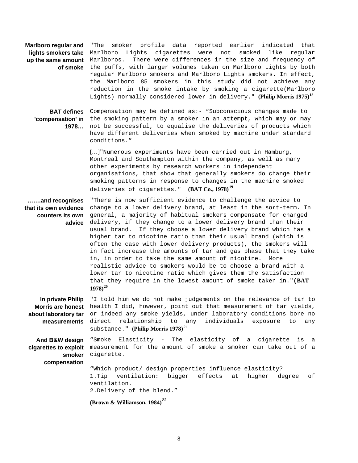| Marlboro regular and<br>lights smokers take<br>up the same amount<br>of smoke<br><b>BAT defines</b><br>1978 | smoker profile data reported earlier indicated that<br>"The<br>like<br>Lights cigarettes were not<br>smoked<br>Marlboro<br>regular<br>There were differences in the size and frequency of<br>Marlboros.<br>the puffs, with larger volumes taken on Marlboro Lights by both<br>regular Marlboro smokers and Marlboro Lights smokers. In effect,<br>the Marlboro 85 smokers in this study did not achieve any<br>reduction in the smoke intake by smoking a cigarette(Marlboro<br>Lights) normally considered lower in delivery." (Philip Morris 1975) <sup>18</sup><br>Compensation may be defined as:- "Subconscious changes made to<br>'compensation'in the smoking pattern by a smoker in an attempt, which may or may<br>not be successful, to equalise the deliveries of products which<br>have different deliveries when smoked by machine under standard<br>conditions." |
|-------------------------------------------------------------------------------------------------------------|--------------------------------------------------------------------------------------------------------------------------------------------------------------------------------------------------------------------------------------------------------------------------------------------------------------------------------------------------------------------------------------------------------------------------------------------------------------------------------------------------------------------------------------------------------------------------------------------------------------------------------------------------------------------------------------------------------------------------------------------------------------------------------------------------------------------------------------------------------------------------------|
|                                                                                                             | []"Numerous experiments have been carried out in Hamburg,<br>Montreal and Southampton within the company, as well as many<br>other experiments by research workers in independent<br>organisations, that show that generally smokers do change their<br>smoking patterns in response to changes in the machine smoked<br>deliveries of cigarettes." (BAT Co., 1978) <sup>19</sup>                                                                                                                                                                                                                                                                                                                                                                                                                                                                                              |
| and recognises<br>that its own evidence<br>counters its own<br>advice                                       | "There is now sufficient evidence to challenge the advice to<br>change to a lower delivery brand, at least in the sort-term. In<br>general, a majority of habitual smokers compensate for changed<br>delivery, if they change to a lower delivery brand than their<br>usual brand. If they choose a lower delivery brand which has a<br>higher tar to nicotine ratio than their usual brand (which is<br>often the case with lower delivery products), the smokers will<br>in fact increase the amounts of tar and gas phase that they take<br>in, in order to take the same amount of nicotine.<br>More<br>realistic advice to smokers would be to choose a brand with a<br>lower tar to nicotine ratio which gives them the satisfaction<br>that they require in the lowest amount of smoke taken in." (BAT<br>$1978)^{20}$                                                  |
| In private Philip<br><b>Morris are honest</b><br>about laboratory tar<br>measurements                       | "I told him we do not make judgements on the relevance of tar to<br>health I did, however, point out that measurement of tar yields,<br>or indeed any smoke yields, under laboratory conditions bore no<br>relationship to<br>direct<br>any<br>individuals<br>exposure<br>to<br>any<br>substance." (Philip Morris 1978) <sup>21</sup>                                                                                                                                                                                                                                                                                                                                                                                                                                                                                                                                          |
| And B&W design<br>cigarettes to exploit<br>smoker<br>compensation                                           | "Smoke Elasticity - The elasticity of a cigarette is a<br>measurement for the amount of smoke a smoker can take out of a<br>cigarette.<br>"Which product/ design properties influence elasticity?<br>bigger<br>1.Tip<br>ventilation:<br>effects<br>at<br>higher<br>degree<br>оf<br>ventilation.                                                                                                                                                                                                                                                                                                                                                                                                                                                                                                                                                                                |
|                                                                                                             | 2. Delivery of the blend."<br>(Brown & Williamson, 1984) <sup>22</sup>                                                                                                                                                                                                                                                                                                                                                                                                                                                                                                                                                                                                                                                                                                                                                                                                         |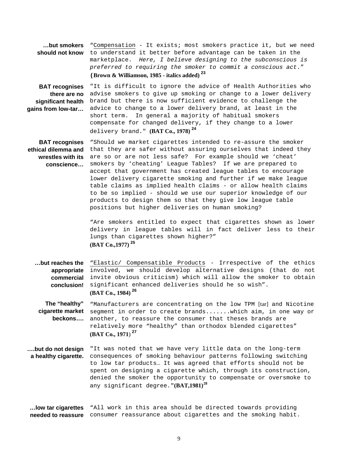|                                                          | but smokers "Compensation - It exists; most smokers practice it, but we need |  |
|----------------------------------------------------------|------------------------------------------------------------------------------|--|
| should not know                                          | to understand it better before advantage can be taken in the                 |  |
|                                                          | marketplace. Here, I believe designing to the subconscious is                |  |
|                                                          | preferred to requiring the smoker to commit a conscious act."                |  |
| (Brown & Williamson, 1985 - italics added) <sup>23</sup> |                                                                              |  |

**BAT recognises**  "It is difficult to ignore the advice of Health Authorities who **there are no**  advise smokers to give up smoking or change to a lower delivery **significant health**  brand but there is now sufficient evidence to challenge the **gains from low-tar...** advice to change to a lower delivery brand, at least in the short term. In general a majority of habitual smokers compensate for changed delivery, if they change to a lower delivery brand." **(BAT Co., 1978) [24](#page-11-23)**

**BAT recognises**  "Should we market cigarettes intended to re-assure the smoker **ethical dilemma and** that they are safer without assuring ourselves that indeed they **wrestles with its**  are so or are not less safe? For example should we 'cheat' **conscience…**  smokers by 'cheating' League Tables? If we are prepared to accept that government has created league tables to encourage lower delivery cigarette smoking and further if we make league table claims as implied health claims - or allow health claims to be so implied - should we use our superior knowledge of our products to design them so that they give low league table positions but higher deliveries on human smoking?

> "Are smokers entitled to expect that cigarettes shown as lower delivery in league tables will in fact deliver less to their lungs than cigarettes shown higher?" **(BAT Co.,1977) [25](#page-11-24)**

**…but reaches the**  "Elastic/ Compensatible Products - Irrespective of the ethics **appropriate**  involved, we should develop alternative designs (that do not **commercial**  invite obvious criticism) which will allow the smoker to obtain **conclusion!**  significant enhanced deliveries should he so wish". **(BAT Co., 1984) [26](#page-11-25)**

**The "healthy" cigarette market**  segment in order to create brands.......which aim, in one way or **beckons….**  "Manufacturers are concentrating on the low TPM [tar] and Nicotine another, to reassure the consumer that theses brands are relatively more "healthy" than orthodox blended cigarettes" **(BAT Co., 1971**) **[27](#page-11-26)**

**….but do not design**  "It was noted that we have very little data on the long-term **a healthy cigarette.**  consequences of smoking behaviour patterns following switching to low tar products… It was agreed that efforts should not be spent on designing a cigarette which, through its construction, denied the smoker the opportunity to compensate or oversmoke to any significant degree."**(BAT,1981)[28](#page-12-0)**

**…low tar cigarettes**  "All work in this area should be directed towards providing **needed to reassure**  consumer reassurance about cigarettes and the smoking habit.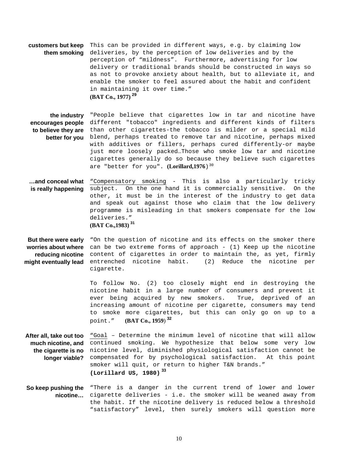**customers but keep**  This can be provided in different ways, e.g. by claiming low **them smoking**  deliveries, by the perception of low deliveries and by the perception of "mildness". Furthermore, advertising for low delivery or traditional brands should be constructed in ways so as not to provoke anxiety about health, but to alleviate it, and enable the smoker to feel assured about the habit and confident in maintaining it over time." **(BAT Co., 1977) [29](#page-12-1)**

**the industry**  "People believe that cigarettes low in tar and nicotine have **encourages people**  different "tobacco" ingredients and different kinds of filters **to believe they are**  than other cigarettes-the tobacco is milder or a special mild **better for you** blend, perhaps treated to remove tar and nicotine, perhaps mixed with additives or fillers, perhaps cured differently-or maybe just more loosely packed…Those who smoke low tar and nicotine cigarettes generally do so because they believe such cigarettes are "better for you". (Lorillard, 1976)<sup>[30](#page-12-2)</sup>

**…and conceal what**  "Compensatory smoking - This is also a particularly tricky **is really happening**  subject. On the one hand it is commercially sensitive. On the other, it must be in the interest of the industry to get data and speak out against those who claim that the low delivery programme is misleading in that smokers compensate for the low deliveries."

**(BAT Co.,1983) [31](#page-12-3)**

**But there were early** "On the question of nicotine and its effects on the smoker there **worries about where**  can be two extreme forms of approach - (1) Keep up the nicotine **reducing nicotine**  content of cigarettes in order to maintain the, as yet, firmly **might eventually lead**  entrenched nicotine habit. (2) Reduce the nicotine per cigarette.

> To follow No. (2) too closely might end in destroying the nicotine habit in a large number of consumers and prevent it ever being acquired by new smokers. True, deprived of an increasing amount of nicotine per cigarette, consumers may tend to smoke more cigarettes, but this can only go on up to a point." **(BAT Co., 1959**) **[32](#page-12-4)**

**After all, take out too**  "Goal – Determine the minimum level of nicotine that will allow **much nicotine, and**  continued smoking. We hypothesize that below some very low **the cigarette is no**  nicotine level, diminished physiological satisfaction cannot be **longer viable?**  compensated for by psychological satisfaction. At this point smoker will quit, or return to higher T&N brands." **(Lorillard US, 1980) [33](#page-12-5)**

#### **So keep pushing the**  "There is a danger in the current trend of lower and lower **nicotine…**  cigarette deliveries - i.e. the smoker will be weaned away from the habit. If the nicotine delivery is reduced below a threshold "satisfactory" level, then surely smokers will question more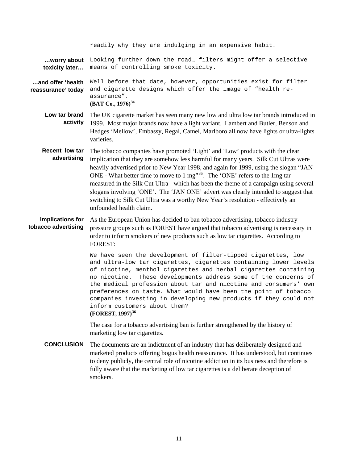|                                                | readily why they are indulging in an expensive habit.                                                                                                                                                                                                                                                                                                                                                                                                                                                                                                                                                                                                |
|------------------------------------------------|------------------------------------------------------------------------------------------------------------------------------------------------------------------------------------------------------------------------------------------------------------------------------------------------------------------------------------------------------------------------------------------------------------------------------------------------------------------------------------------------------------------------------------------------------------------------------------------------------------------------------------------------------|
| worry about<br>toxicity later                  | Looking further down the road filters might offer a selective<br>means of controlling smoke toxicity.                                                                                                                                                                                                                                                                                                                                                                                                                                                                                                                                                |
| and offer 'health<br>reassurance' today        | Well before that date, however, opportunities exist for filter<br>and cigarette designs which offer the image of "health re-<br>assurance".<br>(BAT Co., $1976$ ) <sup>34</sup>                                                                                                                                                                                                                                                                                                                                                                                                                                                                      |
| Low tar brand<br>activity                      | The UK cigarette market has seen many new low and ultra low tar brands introduced in<br>1999. Most major brands now have a light variant. Lambert and Butler, Benson and<br>Hedges 'Mellow', Embassy, Regal, Camel, Marlboro all now have lights or ultra-lights<br>varieties.                                                                                                                                                                                                                                                                                                                                                                       |
| Recent low tar<br>advertising                  | The tobacco companies have promoted 'Light' and 'Low' products with the clear<br>implication that they are somehow less harmful for many years. Silk Cut Ultras were<br>heavily advertised prior to New Year 1998, and again for 1999, using the slogan "JAN<br>ONE - What better time to move to 1 mg" <sup>35</sup> . The 'ONE' refers to the 1mg tar<br>measured in the Silk Cut Ultra - which has been the theme of a campaign using several<br>slogans involving 'ONE'. The 'JAN ONE' advert was clearly intended to suggest that<br>switching to Silk Cut Ultra was a worthy New Year's resolution - effectively an<br>unfounded health claim. |
| <b>Implications for</b><br>tobacco advertising | As the European Union has decided to ban tobacco advertising, tobacco industry<br>pressure groups such as FOREST have argued that tobacco advertising is necessary in<br>order to inform smokers of new products such as low tar cigarettes. According to<br><b>FOREST:</b>                                                                                                                                                                                                                                                                                                                                                                          |
|                                                | We have seen the development of filter-tipped cigarettes, low<br>and ultra-low tar cigarettes, cigarettes containing lower levels<br>of nicotine, menthol cigarettes and herbal cigarettes containing<br>no nicotine.<br>These developments address some of the concerns of<br>the medical profession about tar and nicotine and consumers' own<br>preferences on taste. What would have been the point of tobacco<br>companies investing in developing new products if they could not<br>inform customers about them?<br>(FOREST, 1997) <sup>36</sup>                                                                                               |
|                                                | The case for a tobacco advertising ban is further strengthened by the history of<br>marketing low tar cigarettes.                                                                                                                                                                                                                                                                                                                                                                                                                                                                                                                                    |
| <b>CONCLUSION</b>                              | The documents are an indictment of an industry that has deliberately designed and<br>marketed products offering bogus health reassurance. It has understood, but continues<br>to deny publicly, the central role of nicotine addiction in its business and therefore is<br>fully aware that the marketing of low tar cigarettes is a deliberate deception of                                                                                                                                                                                                                                                                                         |

smokers.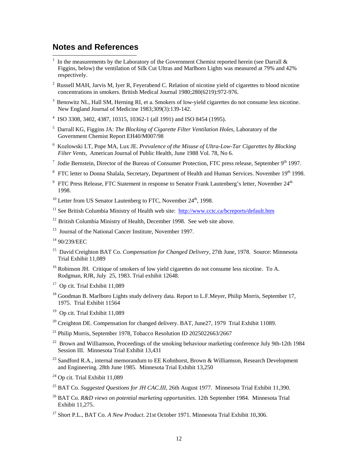### **Notes and References**

 $\overline{\phantom{a}}$ 

- <span id="page-11-0"></span>1 In the measurements by the Laboratory of the Government Chemist reported herein (see Darrall  $\&$ Figgins, below) the ventilation of Silk Cut Ultras and Marlboro Lights was measured at 79% and 42% respectively.
- <span id="page-11-1"></span><sup>2</sup> Russell MAH, Jarvis M, Iyer R, Feyerabend C. Relation of nicotine yield of cigarettes to blood nicotine concentrations in smokers. British Medical Journal 1980;280(6219):972-976.
- <span id="page-11-2"></span><sup>3</sup> Benowitz NL, Hall SM, Herning RI, et a. Smokers of low-yield cigarettes do not consume less nicotine. New England Journal of Medicine 1983;309(3):139-142.
- <span id="page-11-3"></span>4 ISO 3308, 3402, 4387, 10315, 10362-1 (all 1991) and ISO 8454 (1995).
- <span id="page-11-4"></span>5 Darrall KG, Figgins JA: *The Blocking of Cigarette Filter Ventilation Holes*, Laboratory of the Government Chemist Report EH40/M007/98
- <span id="page-11-5"></span>6 Kozlowski LT, Pope MA, Lux JE. *Prevalence of the Misuse of Ultra-Low-Tar Cigarettes by Blocking Filter Vents*, American Journal of Public Health, June 1988 Vol. 78, No 6.
- <span id="page-11-6"></span><sup>7</sup> Jodie Bernstein, Director of the Bureau of Consumer Protection, FTC press release, September  $9<sup>th</sup>$  1997.
- <span id="page-11-7"></span><sup>8</sup> FTC letter to Donna Shalala, Secretary, Department of Health and Human Services. November  $19<sup>th</sup>$  1998.
- <span id="page-11-8"></span> $9$  FTC Press Release, FTC Statement in response to Senator Frank Lautenberg's letter, November  $24^{\text{th}}$ 1998.
- <span id="page-11-9"></span> $10$  Letter from US Senator Lautenberg to FTC. November  $24^{\text{th}}$ , 1998.
- <span id="page-11-10"></span><sup>11</sup> See British Columbia Ministry of Health web site: http://www.cctc.ca/bcreports/default.htm
- <span id="page-11-11"></span> $12$  British Columbia Ministry of Health, December 1998. See web site above.
- <span id="page-11-12"></span><sup>13</sup> Journal of the National Cancer Institute, November 1997.
- <span id="page-11-13"></span>14 90/239/EEC
- <span id="page-11-14"></span>15 David Creighton BAT Co. *Compensation for Changed Delivery*, 27th June, 1978. Source: Minnesota Trial Exhibit 11,089
- <span id="page-11-15"></span><sup>16</sup> Robinson JH. Critique of smokers of low yield cigarettes do not consume less nicotine. To A. Rodgman, RJR, July 25, 1983. Trial exhibit 12648.
- <span id="page-11-16"></span><sup>17</sup> Op cit. Trial Exhibit 11,089
- <span id="page-11-17"></span><sup>18</sup> Goodman B. Marlboro Lights study delivery data. Report to L.F.Meyer, Philip Morris, September 17, 1975. Trial Exhibit 11564
- <span id="page-11-18"></span><sup>19</sup> Op cit. Trial Exhibit 11,089
- <span id="page-11-19"></span> $20$  Creighton DE. Compensation for changed delivery. BAT, June 27, 1979 Trial Exhibit 11089.
- <span id="page-11-20"></span>21 Philip Morris, September 1978, Tobacco Resolution ID 2025022663/2667
- <span id="page-11-21"></span><sup>22</sup> Brown and Williamson, Proceedings of the smoking behaviour marketing conference July 9th-12th 1984 Session III. Minnesota Trial Exhibit 13,431
- <span id="page-11-22"></span><sup>23</sup> Sandford R.A., internal memorandum to EE Kohnhorst, Brown & Williamson, Research Development and Engineering. 28th June 1985. Minnesota Trial Exhibit 13,250
- <span id="page-11-23"></span> $24$  Op cit. Trial Exhibit 11,089
- <span id="page-11-24"></span><sup>25</sup> BAT Co. *Suggested Questions for JH CAC.III*, 26th August 1977. Minnesota Trial Exhibit 11,390.
- <span id="page-11-25"></span>26 BAT Co. *R&D views on potential marketing opportunities*. 12th September 1984. Minnesota Trial Exhibit 11,275.
- <span id="page-11-26"></span>27 Short P.L., BAT Co. *A New Product*. 21st October 1971. Minnesota Trial Exhibit 10,306.